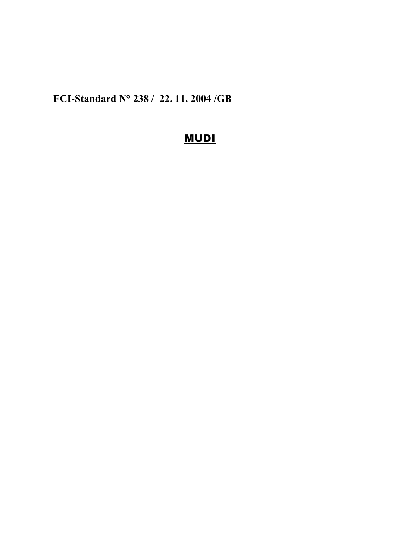**FCI-Standard N° 238 / 22. 11. 2004 /GB**

# MUDI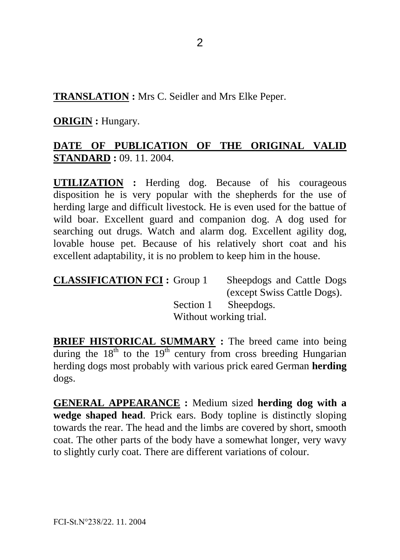**TRANSLATION :** Mrs C. Seidler and Mrs Elke Peper.

**ORIGIN :** Hungary.

## **DATE OF PUBLICATION OF THE ORIGINAL VALID STANDARD :** 09. 11. 2004.

**UTILIZATION :** Herding dog. Because of his courageous disposition he is very popular with the shepherds for the use of herding large and difficult livestock. He is even used for the battue of wild boar. Excellent guard and companion dog. A dog used for searching out drugs. Watch and alarm dog. Excellent agility dog, lovable house pet. Because of his relatively short coat and his excellent adaptability, it is no problem to keep him in the house.

| <b>CLASSIFICATION FCI: Group 1</b> | Sheepdogs and Cattle Dogs   |
|------------------------------------|-----------------------------|
|                                    | (except Swiss Cattle Dogs). |
|                                    | Section 1 Sheepdogs.        |
|                                    | Without working trial.      |

**BRIEF HISTORICAL SUMMARY :** The breed came into being during the  $18<sup>th</sup>$  to the  $19<sup>th</sup>$  century from cross breeding Hungarian herding dogs most probably with various prick eared German **herding**  dogs.

**GENERAL APPEARANCE :** Medium sized **herding dog with a wedge shaped head**. Prick ears. Body topline is distinctly sloping towards the rear. The head and the limbs are covered by short, smooth coat. The other parts of the body have a somewhat longer, very wavy to slightly curly coat. There are different variations of colour.

FCI-St.N°238/22. 11. 2004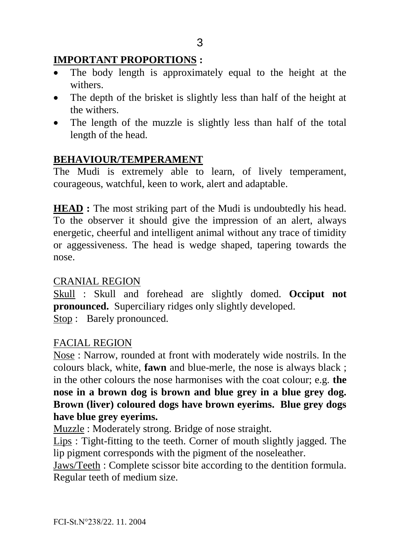## **IMPORTANT PROPORTIONS :**

- The body length is approximately equal to the height at the withers.
- The depth of the brisket is slightly less than half of the height at the withers.
- The length of the muzzle is slightly less than half of the total length of the head.

# **BEHAVIOUR/TEMPERAMENT**

The Mudi is extremely able to learn, of lively temperament, courageous, watchful, keen to work, alert and adaptable.

**HEAD** : The most striking part of the Mudi is undoubtedly his head. To the observer it should give the impression of an alert, always energetic, cheerful and intelligent animal without any trace of timidity or aggessiveness. The head is wedge shaped, tapering towards the nose.

## CRANIAL REGION

Skull : Skull and forehead are slightly domed. **Occiput not pronounced.** Superciliary ridges only slightly developed. Stop : Barely pronounced.

## FACIAL REGION

Nose : Narrow, rounded at front with moderately wide nostrils. In the colours black, white, **fawn** and blue-merle, the nose is always black ; in the other colours the nose harmonises with the coat colour; e.g. **the nose in a brown dog is brown and blue grey in a blue grey dog. Brown (liver) coloured dogs have brown eyerims. Blue grey dogs have blue grey eyerims.**

Muzzle : Moderately strong. Bridge of nose straight.

Lips : Tight-fitting to the teeth. Corner of mouth slightly jagged. The lip pigment corresponds with the pigment of the noseleather.

Jaws/Teeth : Complete scissor bite according to the dentition formula. Regular teeth of medium size.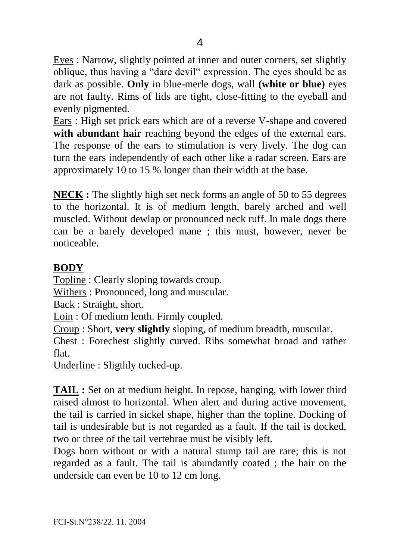Eyes : Narrow, slightly pointed at inner and outer corners, set slightly oblique, thus having a "dare devil" expression. The eyes should be as dark as possible. **Only** in blue-merle dogs, wall **(white or blue)** eyes are not faulty. Rims of lids are tight, close-fitting to the eyeball and evenly pigmented.

Ears : High set prick ears which are of a reverse V-shape and covered **with abundant hair** reaching beyond the edges of the external ears. The response of the ears to stimulation is very lively. The dog can turn the ears independently of each other like a radar screen. Ears are approximately 10 to 15 % longer than their width at the base.

**NECK :** The slightly high set neck forms an angle of 50 to 55 degrees to the horizontal. It is of medium length, barely arched and well muscled. Without dewlap or pronounced neck ruff. In male dogs there can be a barely developed mane ; this must, however, never be noticeable.

## **BODY**

Topline : Clearly sloping towards croup.

Withers : Pronounced, long and muscular.

Back : Straight, short.

Loin : Of medium lenth. Firmly coupled.

Croup : Short, **very slightly** sloping, of medium breadth, muscular.

Chest : Forechest slightly curved. Ribs somewhat broad and rather flat.

Underline : Sligthly tucked-up.

**TAIL :** Set on at medium height. In repose, hanging, with lower third raised almost to horizontal. When alert and during active movement, the tail is carried in sickel shape, higher than the topline. Docking of tail is undesirable but is not regarded as a fault. If the tail is docked, two or three of the tail vertebrae must be visibly left.

Dogs born without or with a natural stump tail are rare; this is not regarded as a fault. The tail is abundantly coated ; the hair on the underside can even be 10 to 12 cm long.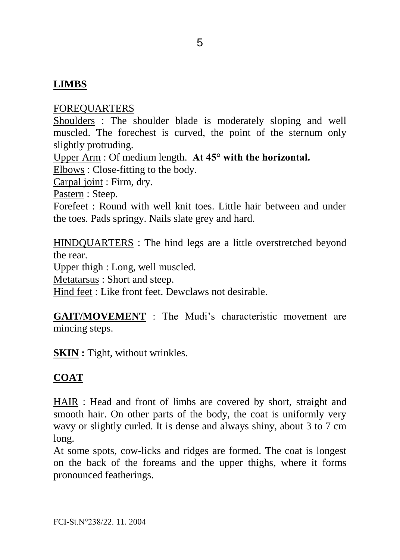### **LIMBS**

#### FOREQUARTERS

Shoulders : The shoulder blade is moderately sloping and well muscled. The forechest is curved, the point of the sternum only slightly protruding.

Upper Arm : Of medium length. **At 45° with the horizontal.**

Elbows : Close-fitting to the body.

Carpal joint : Firm, dry.

Pastern : Steep.

Forefeet : Round with well knit toes. Little hair between and under the toes. Pads springy. Nails slate grey and hard.

HINDQUARTERS : The hind legs are a little overstretched beyond the rear.

Upper thigh : Long, well muscled.

Metatarsus : Short and steep.

Hind feet : Like front feet. Dewclaws not desirable.

**GAIT/MOVEMENT** : The Mudi's characteristic movement are mincing steps.

**SKIN** : Tight, without wrinkles.

#### **COAT**

HAIR : Head and front of limbs are covered by short, straight and smooth hair. On other parts of the body, the coat is uniformly very wavy or slightly curled. It is dense and always shiny, about 3 to 7 cm long.

At some spots, cow-licks and ridges are formed. The coat is longest on the back of the foreams and the upper thighs, where it forms pronounced featherings.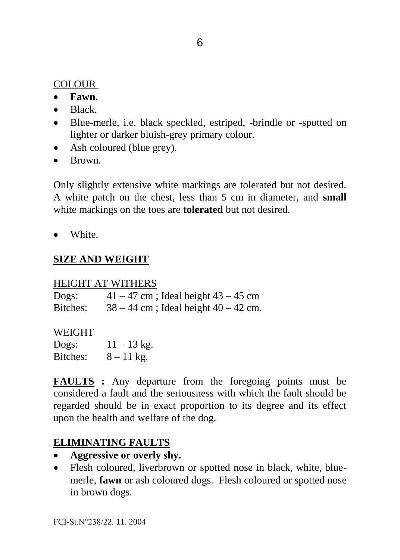### **COLOUR**

- **Fawn.**
- Black
- Blue-merle, i.e. black speckled, estriped, -brindle or -spotted on lighter or darker bluish-grey primary colour.
- Ash coloured (blue grey).
- $\bullet$  Brown.

Only slightly extensive white markings are tolerated but not desired. A white patch on the chest, less than 5 cm in diameter, and **small**  white markings on the toes are **tolerated** but not desired.

• White.

## **SIZE AND WEIGHT**

#### HEIGHT AT WITHERS

Dogs:  $41 - 47$  cm; Ideal height  $43 - 45$  cm Bitches:  $38 - 44$  cm; Ideal height  $40 - 42$  cm.

#### WEIGHT

Dogs:  $11 - 13 \text{ kg}$ . Bitches:  $8 - 11 \text{ kg}$ .

**FAULTS :** Any departure from the foregoing points must be considered a fault and the seriousness with which the fault should be regarded should be in exact proportion to its degree and its effect upon the health and welfare of the dog.

### **ELIMINATING FAULTS**

- **Aggressive or overly shy.**
- Flesh coloured, liverbrown or spotted nose in black, white, bluemerle, **fawn** or ash coloured dogs. Flesh coloured or spotted nose in brown dogs.